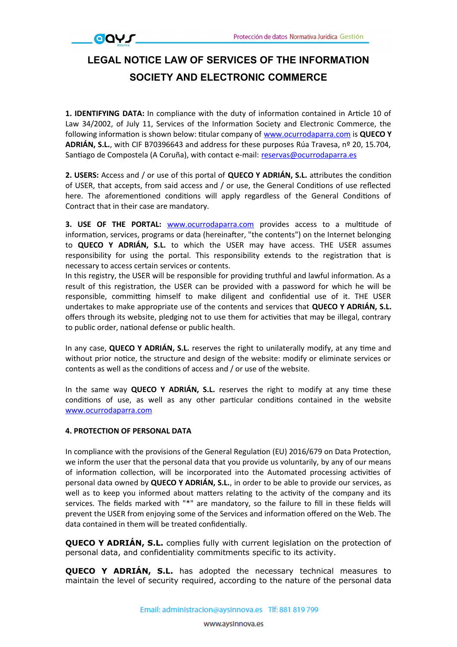## **LEGAL NOTICE LAW OF SERVICES OF THE INFORMATION SOCIETY AND ELECTRONIC COMMERCE**

1. IDENTIFYING DATA: In compliance with the duty of information contained in Article 10 of Law 34/2002, of July 11, Services of the Information Society and Electronic Commerce, the following informaton is shown below: ttular company of [www.ocurrodaparra.com](file:///C:%5CUsers%5CAYS%20innova%201%5CDropbox%5CAYS%20LOPD%5CPLANTILLAS%5CDocumento%20Completo%20RGPD%5CCL%C3%81USULAS%20RGPD%5CWeb%5Cwww.XXXXX.com) is **QUECO Y ADRIÁN, S.L.**, with CIF B70396643 and address for these purposes Rúa Travesa, nº 20, 15.704, Santiago de Compostela (A Coruña), with contact e-mail: [reservas@ocurrodaparra.es](mailto:reservas@ocurrodaparra.es)

**2. USERS:** Access and / or use of this portal of **QUECO Y ADRIÁN, S.L.** atributes the conditon of USER, that accepts, from said access and / or use, the General Conditons of use refected here. The aforementioned conditions will apply regardless of the General Conditions of Contract that in their case are mandatory.

**3. USE OF THE PORTAL:** [www.ocurrodaparra.com](file:///C:%5CUsers%5CAYS%20innova%201%5CDropbox%5CAYS%20LOPD%5CPLANTILLAS%5CDocumento%20Completo%20RGPD%5CCL%C3%81USULAS%20RGPD%5CWeb%5Cwww.XXXXX.com) provides access to a multtude of information, services, programs or data (hereinafter, "the contents") on the Internet belonging to **QUECO Y ADRIÁN, S.L.** to which the USER may have access. THE USER assumes responsibility for using the portal. This responsibility extends to the registration that is necessary to access certain services or contents.

In this registry, the USER will be responsible for providing truthful and lawful informaton. As a result of this registraton, the USER can be provided with a password for which he will be responsible, committing himself to make diligent and confidential use of it. THE USER undertakes to make appropriate use of the contents and services that **QUECO Y ADRIÁN, S.L.** offers through its website, pledging not to use them for activities that may be illegal, contrary to public order, national defense or public health.

In any case, **QUECO Y ADRIÁN, S.L.** reserves the right to unilaterally modify, at any tme and without prior notice, the structure and design of the website: modify or eliminate services or contents as well as the conditons of access and / or use of the website.

In the same way **QUECO Y ADRIÁN, S.L.** reserves the right to modify at any tme these conditions of use, as well as any other particular conditions contained in the website [www.ocurrodaparra.com](file:///C:%5CUsers%5CAYS%20innova%201%5CDropbox%5CAYS%20LOPD%5CPLANTILLAS%5CDocumento%20Completo%20RGPD%5CCL%C3%81USULAS%20RGPD%5CWeb%5Cwww.XXXXX.com)

## **4. PROTECTION OF PERSONAL DATA**

 $\overline{QQ}V$ 

In compliance with the provisions of the General Regulation (EU) 2016/679 on Data Protection, we inform the user that the personal data that you provide us voluntarily, by any of our means of information collection, will be incorporated into the Automated processing activities of personal data owned by **QUECO Y ADRIÁN, S.L.**, in order to be able to provide our services, as well as to keep you informed about matters relating to the activity of the company and its services. The fields marked with "\*" are mandatory, so the failure to fill in these fields will prevent the USER from enjoying some of the Services and informaton offered on the Web. The data contained in them will be treated confdentally.

**QUECO Y ADRIÁN, S.L.** complies fully with current legislation on the protection of personal data, and confidentiality commitments specific to its activity.

**QUECO Y ADRIÁN, S.L.** has adopted the necessary technical measures to maintain the level of security required, according to the nature of the personal data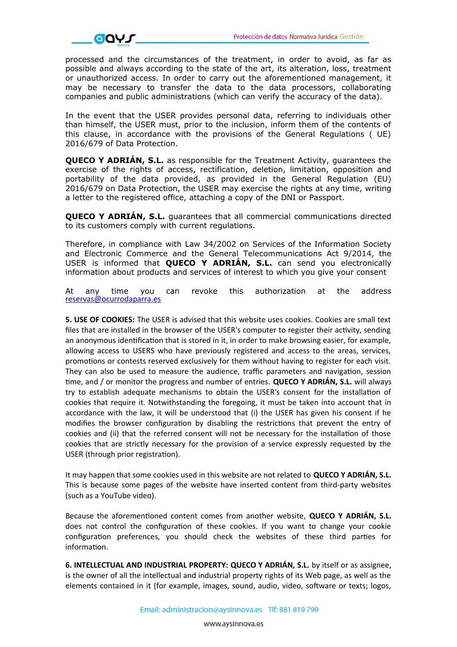

processed and the circumstances of the treatment, in order to avoid, as far as possible and always according to the state of the art, its alteration, loss, treatment or unauthorized access. In order to carry out the aforementioned management, it may be necessary to transfer the data to the data processors, collaborating companies and public administrations (which can verify the accuracy of the data).

In the event that the USER provides personal data, referring to individuals other than himself, the USER must, prior to the inclusion, inform them of the contents of this clause, in accordance with the provisions of the General Regulations ( UE) 2016/679 of Data Protection.

**QUECO Y ADRIÁN, S.L.** as responsible for the Treatment Activity, guarantees the exercise of the rights of access, rectification, deletion, limitation, opposition and portability of the data provided, as provided in the General Regulation (EU) 2016/679 on Data Protection, the USER may exercise the rights at any time, writing a letter to the registered office, attaching a copy of the DNI or Passport.

**QUECO Y ADRIÁN, S.L.** guarantees that all commercial communications directed to its customers comply with current regulations.

Therefore, in compliance with Law 34/2002 on Services of the Information Society and Electronic Commerce and the General Telecommunications Act 9/2014, the USER is informed that **QUECO Y ADRIÁN, S.L.** can send you electronically information about products and services of interest to which you give your consent

At any time you can revoke this authorization at the address [reservas@ocurrodaparra.es](mailto:reservas@ocurrodaparra.es)

**5. USE OF COOKIES:** The USER is advised that this website uses cookies. Cookies are small text files that are installed in the browser of the USER's computer to register their activity, sending an anonymous identification that is stored in it, in order to make browsing easier, for example, allowing access to USERS who have previously registered and access to the areas, services, promotions or contests reserved exclusively for them without having to register for each visit. They can also be used to measure the audience, traffic parameters and navigation, session tme, and / or monitor the progress and number of entries. **QUECO Y ADRIÁN, S.L.** will always try to establish adequate mechanisms to obtain the USER's consent for the installation of cookies that require it. Notwithstanding the foregoing, it must be taken into account that in accordance with the law, it will be understood that (i) the USER has given his consent if he modifies the browser configuration by disabling the restrictions that prevent the entry of cookies and (ii) that the referred consent will not be necessary for the installation of those cookies that are strictly necessary for the provision of a service expressly requested by the USER (through prior registration).

It may happen that some cookies used in this website are not related to **QUECO Y ADRIÁN, S.L.** This is because some pages of the website have inserted content from third-party websites (such as a YouTube video).

Because the aforementoned content comes from another website, **QUECO Y ADRIÁN, S.L.** does not control the configuration of these cookies. If you want to change your cookie configuration preferences, you should check the websites of these third parties for information.

**6. INTELLECTUAL AND INDUSTRIAL PROPERTY: QUECO Y ADRIÁN, S.L.** by itself or as assignee, is the owner of all the intellectual and industrial property rights of its Web page, as well as the elements contained in it (for example, images, sound, audio, video, software or texts; logos,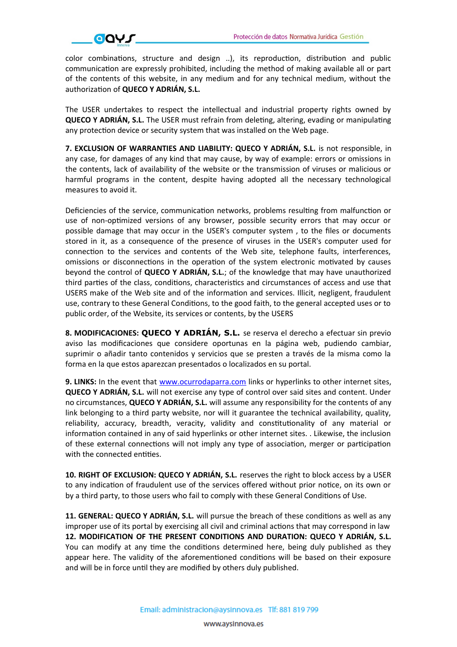

color combinations, structure and design ..), its reproduction, distribution and public communication are expressly prohibited, including the method of making available all or part of the contents of this website, in any medium and for any technical medium, without the authorizaton of **QUECO Y ADRIÁN, S.L.**

The USER undertakes to respect the intellectual and industrial property rights owned by **QUECO Y ADRIÁN, S.L.** The USER must refrain from deleting, altering, evading or manipulating any protection device or security system that was installed on the Web page.

**7. EXCLUSION OF WARRANTIES AND LIABILITY: QUECO Y ADRIÁN, S.L.** is not responsible, in any case, for damages of any kind that may cause, by way of example: errors or omissions in the contents, lack of availability of the website or the transmission of viruses or malicious or harmful programs in the content, despite having adopted all the necessary technological measures to avoid it.

Deficiencies of the service, communication networks, problems resulting from malfunction or use of non-optimized versions of any browser, possible security errors that may occur or possible damage that may occur in the USER's computer system, to the files or documents stored in it, as a consequence of the presence of viruses in the USER's computer used for connection to the services and contents of the Web site, telephone faults, interferences, omissions or disconnections in the operation of the system electronic motivated by causes beyond the control of **QUECO Y ADRIÁN, S.L.**; of the knowledge that may have unauthorized third parties of the class, conditions, characteristics and circumstances of access and use that USERS make of the Web site and of the informaton and services. Illicit, negligent, fraudulent use, contrary to these General Conditons, to the good faith, to the general accepted uses or to public order, of the Website, its services or contents, by the USERS

**8. MODIFICACIONES: QUECO Y ADRIÁN, S.L.** se reserva el derecho a efectuar sin previo aviso las modifcaciones que considere oportunas en la página web, pudiendo cambiar, suprimir o añaadir tanto contenidos y servicios que se presten a través de la misma como la forma en la que estos aparezcan presentados o localizados en su portal.

**9. LINKS:** In the event that [www.ocurrodaparra.com](file:///C:%5CUsers%5CAYS%20innova%201%5CDropbox%5CAYS%20LOPD%5CPLANTILLAS%5CDocumento%20Completo%20RGPD%5CCL%C3%81USULAS%20RGPD%5CWeb%5Cwww.XXXXX.com) links or hyperlinks to other internet sites, **QUECO Y ADRIÁN, S.L.** will not exercise any type of control over said sites and content. Under no circumstances, **QUECO Y ADRIÁN, S.L.** will assume any responsibility for the contents of any link belonging to a third party website, nor will it guarantee the technical availability, quality, reliability, accuracy, breadth, veracity, validity and constitutionality of any material or information contained in any of said hyperlinks or other internet sites. . Likewise, the inclusion of these external connectons will not imply any type of associaton, merger or partcipaton with the connected entities.

**10. RIGHT OF EXCLUSION: QUECO Y ADRIÁN, S.L.** reserves the right to block access by a USER to any indication of fraudulent use of the services offered without prior notice, on its own or by a third party, to those users who fail to comply with these General Conditons of Use.

**11. GENERAL: QUECO Y ADRIÁN, S.L.** will pursue the breach of these conditons as well as any improper use of its portal by exercising all civil and criminal actions that may correspond in law **12. MODIFICATION OF THE PRESENT CONDITIONS AND DURATION: QUECO Y ADRIÁN, S.L.** You can modify at any time the conditions determined here, being duly published as they appear here. The validity of the aforementioned conditions will be based on their exposure and will be in force until they are modified by others duly published.